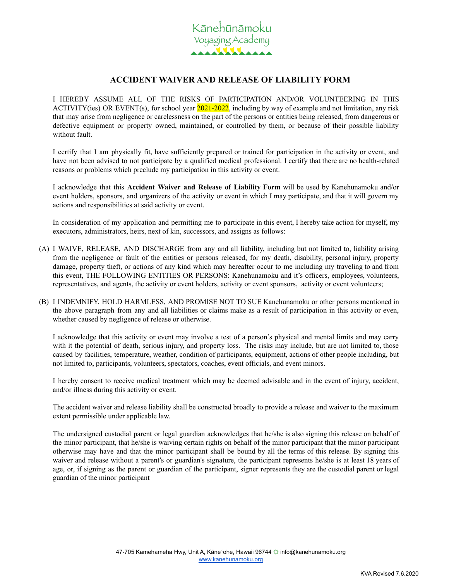

## **ACCIDENT WAIVER AND RELEASE OF LIABILITY FORM**

I HEREBY ASSUME ALL OF THE RISKS OF PARTICIPATION AND/OR VOLUNTEERING IN THIS ACTIVITY(ies) OR EVENT(s), for school year 2021-2022, including by way of example and not limitation, any risk that may arise from negligence or carelessness on the part of the persons or entities being released, from dangerous or defective equipment or property owned, maintained, or controlled by them, or because of their possible liability without fault.

I certify that I am physically fit, have sufficiently prepared or trained for participation in the activity or event, and have not been advised to not participate by a qualified medical professional. I certify that there are no health-related reasons or problems which preclude my participation in this activity or event.

I acknowledge that this **Accident Waiver and Release of Liability Form** will be used by Kanehunamoku and/or event holders, sponsors, and organizers of the activity or event in which I may participate, and that it will govern my actions and responsibilities at said activity or event.

In consideration of my application and permitting me to participate in this event, I hereby take action for myself, my executors, administrators, heirs, next of kin, successors, and assigns as follows:

- (A) I WAIVE, RELEASE, AND DISCHARGE from any and all liability, including but not limited to, liability arising from the negligence or fault of the entities or persons released, for my death, disability, personal injury, property damage, property theft, or actions of any kind which may hereafter occur to me including my traveling to and from this event, THE FOLLOWING ENTITIES OR PERSONS: Kanehunamoku and it's officers, employees, volunteers, representatives, and agents, the activity or event holders, activity or event sponsors, activity or event volunteers;
- (B) I INDEMNIFY, HOLD HARMLESS, AND PROMISE NOT TO SUE Kanehunamoku or other persons mentioned in the above paragraph from any and all liabilities or claims make as a result of participation in this activity or even, whether caused by negligence of release or otherwise.

I acknowledge that this activity or event may involve a test of a person's physical and mental limits and may carry with it the potential of death, serious injury, and property loss. The risks may include, but are not limited to, those caused by facilities, temperature, weather, condition of participants, equipment, actions of other people including, but not limited to, participants, volunteers, spectators, coaches, event officials, and event minors.

I hereby consent to receive medical treatment which may be deemed advisable and in the event of injury, accident, and/or illness during this activity or event.

The accident waiver and release liability shall be constructed broadly to provide a release and waiver to the maximum extent permissible under applicable law.

The undersigned custodial parent or legal guardian acknowledges that he/she is also signing this release on behalf of the minor participant, that he/she is waiving certain rights on behalf of the minor participant that the minor participant otherwise may have and that the minor participant shall be bound by all the terms of this release. By signing this waiver and release without a parent's or guardian's signature, the participant represents he/she is at least 18 years of age, or, if signing as the parent or guardian of the participant, signer represents they are the custodial parent or legal guardian of the minor participant